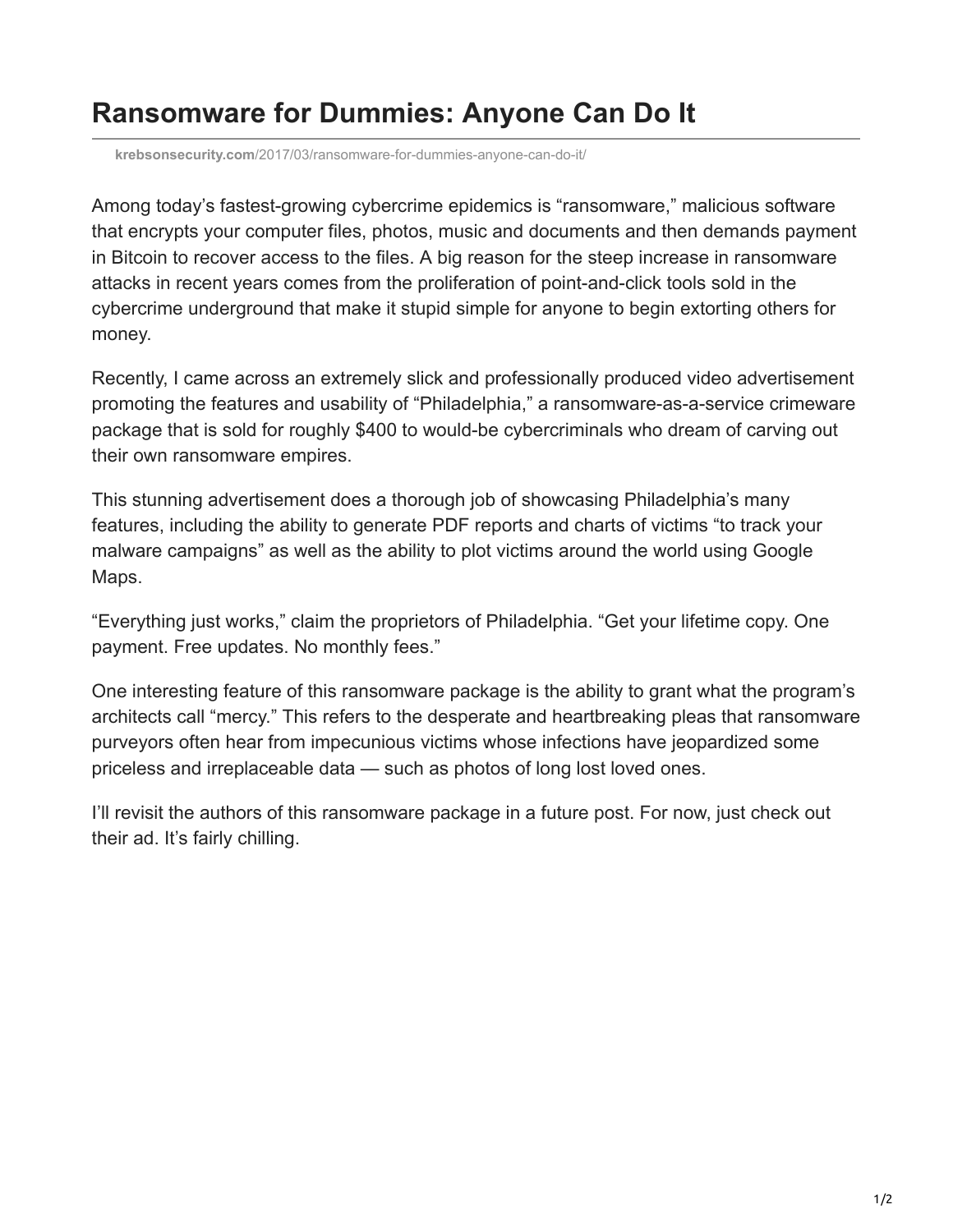## **Ransomware for Dummies: Anyone Can Do It**

**krebsonsecurity.com**[/2017/03/ransomware-for-dummies-anyone-can-do-it/](https://krebsonsecurity.com/2017/03/ransomware-for-dummies-anyone-can-do-it/)

Among today's fastest-growing cybercrime epidemics is "ransomware," malicious software that encrypts your computer files, photos, music and documents and then demands payment in Bitcoin to recover access to the files. A big reason for the steep increase in ransomware attacks in recent years comes from the proliferation of point-and-click tools sold in the cybercrime underground that make it stupid simple for anyone to begin extorting others for money.

Recently, I came across an extremely slick and professionally produced video advertisement promoting the features and usability of "Philadelphia," a ransomware-as-a-service crimeware package that is sold for roughly \$400 to would-be cybercriminals who dream of carving out their own ransomware empires.

This stunning advertisement does a thorough job of showcasing Philadelphia's many features, including the ability to generate PDF reports and charts of victims "to track your malware campaigns" as well as the ability to plot victims around the world using Google Maps.

"Everything just works," claim the proprietors of Philadelphia. "Get your lifetime copy. One payment. Free updates. No monthly fees."

One interesting feature of this ransomware package is the ability to grant what the program's architects call "mercy." This refers to the desperate and heartbreaking pleas that ransomware purveyors often hear from impecunious victims whose infections have jeopardized some priceless and irreplaceable data — such as photos of long lost loved ones.

I'll revisit the authors of this ransomware package in a future post. For now, just check out their ad. It's fairly chilling.